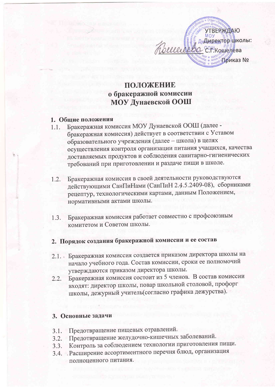

## ПОЛОЖЕНИЕ о бракеражной комиссии МОУ Дунаевской ООШ

#### 1. Общие положения

- Бракеражная комиссия МОУ Дунаевской ООШ (далее - $1.1.$ бракеражная комиссия) действует в соответствии с Уставом образовательного учреждения (далее - школа) в целях осуществления контроля организации питания учащихся, качества доставляемых продуктов и соблюдения санитарно-гигиенических требований при приготовлении и раздаче пищи в школе.
- Бракеражная комиссия в своей деятельности руководствуются  $1.2.$ действующими СанПиНами (СанПиН 2.4.5.2409-08), сборниками рецептур, технологическими картами, данным Положением, нормативными актами школы.
- Бракеражная комиссия работает совместно с профсоюзным  $1.3.$ комитетом и Советом школы.

# 2. Порядок создания бракеражной комиссии и ее состав

- 2.1. Бракеражная комиссия создается приказом директора школы на начало учебного года. Состав комиссии, сроки ее полномочий утверждаются приказом директора школы.
- Бракеражная комиссия состоит из 5 членов. В состав комиссии  $2.2.$ входят: директор школы, повар школьной столовой, профорг школы, дежурный учитель(согласно графика дежурства).

#### 3. Основные задачи

- Предотвращение пищевых отравлений.  $3.1.$
- Предотвращение желудочно-кишечных заболеваний.  $3.2.$
- Контроль за соблюдением технологии приготовления пищи.  $3.3.$
- 3.4. Расширение ассортиментного перечня блюд, организация полноценного питания.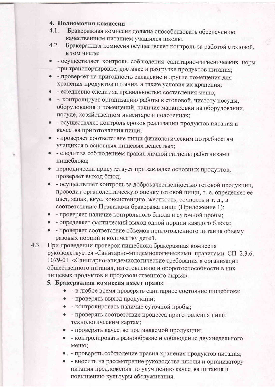#### 4. Полномочия комиссии

- $4.1.$ Бракеражная комиссия должна способствовать обеспечению качественным питанием учащихся школы.
- 4.2. Бракеражная комиссия осуществляет контроль за работой столовой, в том числе:
- - осуществляет контроль соблюдения санитарно-гигиенических норм при транспортировке, доставке и разгрузке продуктов питания;
- - проверяет на пригодность складские и другие помещения для хранения продуктов питания, а также условия их хранения;
- - ежедневно следит за правильностью составления меню;
- - контролирует организацию работы в столовой, чистоту посуды, оборудования и помещений, наличие маркировки на оборудовании, посуде, хозяйственном инвентаре и полотенцах;
- - осуществляет контроль сроков реализации продуктов питания и качества приготовления пищи;
- - проверяет соответствие пищи физиологическим потребностям учащихся в основных пищевых веществах;
- - следит за соблюдением правил личной гигиены работниками пищеблока;
- периодически присутствует при закладке основных продуктов, проверяет выход блюд;
- - осуществляет контроль за доброкачественностью готовой продукции. проводит органолептическую оценку готовой пищи, т. е. определяет ее цвет, запах, вкус, консистенцию, жесткость, сочность и т. д., в соответствии с Правилами бракеража пищи (Приложение 1);
- - проверяет наличие контрольного блюда и суточной пробы:
- - определяет фактический выход одной порции каждого блюда;
- - проверяет соответствие объемов приготовленного питания объему разовых порций и количеству детей.
- $4.3.$ При проведении проверок пищеблока бракеражная комиссия руководствуется -Санитарно-эпидемиологическими правилами СП 2.3.6. 1079-01 «Санитарно-эпидемиологические требования к организации общественного питания, изготовлению и оборотоспособности в них пищевых продуктов и продовольственного сырья».

#### 5. Бракеражная комиссия имеет право:

- - в любое время проверять санитарное состояние пищеблока;
- - проверять выход продукции;
- - контролировать наличие суточной пробы;
- - проверять соответствие процесса приготовления пищи технологическим картам;
- - проверять качество поставляемой продукции;
- - контролировать разнообразие и соблюдение двухнедельного меню;
- . проверять соблюдение правил хранения продуктов питания;
- - вносить на рассмотрение руководства школы и организатору питания предложения по улучшению качества питания и повышению культуры обслуживания.